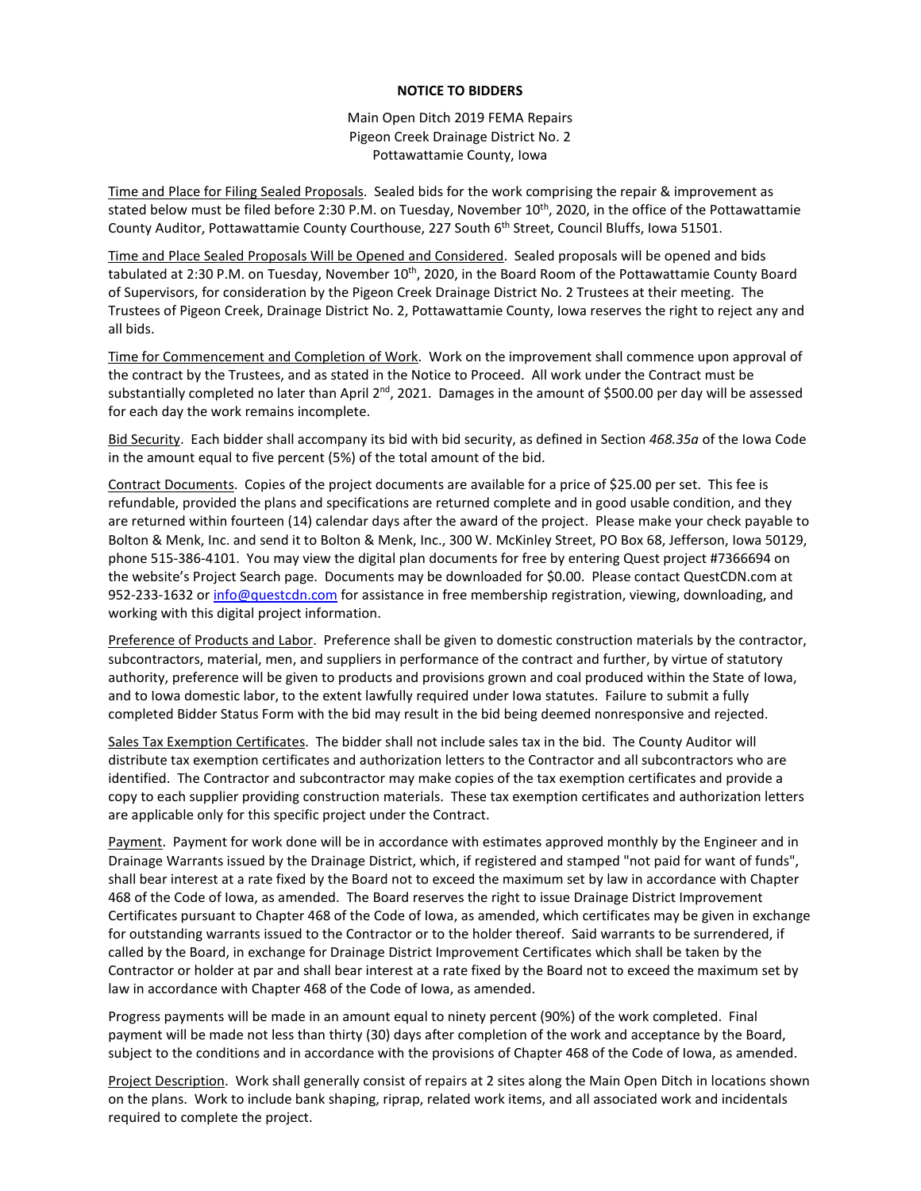## **NOTICE TO BIDDERS**

Main Open Ditch 2019 FEMA Repairs Pigeon Creek Drainage District No. 2 Pottawattamie County, Iowa

Time and Place for Filing Sealed Proposals. Sealed bids for the work comprising the repair & improvement as stated below must be filed before 2:30 P.M. on Tuesday, November 10<sup>th</sup>, 2020, in the office of the Pottawattamie County Auditor, Pottawattamie County Courthouse, 227 South 6<sup>th</sup> Street, Council Bluffs, Iowa 51501.

Time and Place Sealed Proposals Will be Opened and Considered. Sealed proposals will be opened and bids tabulated at 2:30 P.M. on Tuesday, November 10<sup>th</sup>, 2020, in the Board Room of the Pottawattamie County Board of Supervisors, for consideration by the Pigeon Creek Drainage District No. 2 Trustees at their meeting. The Trustees of Pigeon Creek, Drainage District No. 2, Pottawattamie County, Iowa reserves the right to reject any and all bids.

Time for Commencement and Completion of Work. Work on the improvement shall commence upon approval of the contract by the Trustees, and as stated in the Notice to Proceed. All work under the Contract must be substantially completed no later than April  $2^{nd}$ , 2021. Damages in the amount of \$500.00 per day will be assessed for each day the work remains incomplete.

Bid Security. Each bidder shall accompany its bid with bid security, as defined in Section *468.35a* of the Iowa Code in the amount equal to five percent (5%) of the total amount of the bid.

Contract Documents. Copies of the project documents are available for a price of \$25.00 per set. This fee is refundable, provided the plans and specifications are returned complete and in good usable condition, and they are returned within fourteen (14) calendar days after the award of the project. Please make your check payable to Bolton & Menk, Inc. and send it to Bolton & Menk, Inc., 300 W. McKinley Street, PO Box 68, Jefferson, Iowa 50129, phone 515-386-4101. You may view the digital plan documents for free by entering Quest project #7366694 on the website's Project Search page. Documents may be downloaded for \$0.00. Please contact QuestCDN.com at 952-233-1632 or [info@questcdn.com](mailto:info@questcdn.com) for assistance in free membership registration, viewing, downloading, and working with this digital project information.

Preference of Products and Labor. Preference shall be given to domestic construction materials by the contractor, subcontractors, material, men, and suppliers in performance of the contract and further, by virtue of statutory authority, preference will be given to products and provisions grown and coal produced within the State of Iowa, and to Iowa domestic labor, to the extent lawfully required under Iowa statutes. Failure to submit a fully completed Bidder Status Form with the bid may result in the bid being deemed nonresponsive and rejected.

Sales Tax Exemption Certificates. The bidder shall not include sales tax in the bid. The County Auditor will distribute tax exemption certificates and authorization letters to the Contractor and all subcontractors who are identified. The Contractor and subcontractor may make copies of the tax exemption certificates and provide a copy to each supplier providing construction materials. These tax exemption certificates and authorization letters are applicable only for this specific project under the Contract.

Payment. Payment for work done will be in accordance with estimates approved monthly by the Engineer and in Drainage Warrants issued by the Drainage District, which, if registered and stamped "not paid for want of funds", shall bear interest at a rate fixed by the Board not to exceed the maximum set by law in accordance with Chapter 468 of the Code of Iowa, as amended. The Board reserves the right to issue Drainage District Improvement Certificates pursuant to Chapter 468 of the Code of Iowa, as amended, which certificates may be given in exchange for outstanding warrants issued to the Contractor or to the holder thereof. Said warrants to be surrendered, if called by the Board, in exchange for Drainage District Improvement Certificates which shall be taken by the Contractor or holder at par and shall bear interest at a rate fixed by the Board not to exceed the maximum set by law in accordance with Chapter 468 of the Code of Iowa, as amended.

Progress payments will be made in an amount equal to ninety percent (90%) of the work completed. Final payment will be made not less than thirty (30) days after completion of the work and acceptance by the Board, subject to the conditions and in accordance with the provisions of Chapter 468 of the Code of Iowa, as amended.

Project Description. Work shall generally consist of repairs at 2 sites along the Main Open Ditch in locations shown on the plans. Work to include bank shaping, riprap, related work items, and all associated work and incidentals required to complete the project.